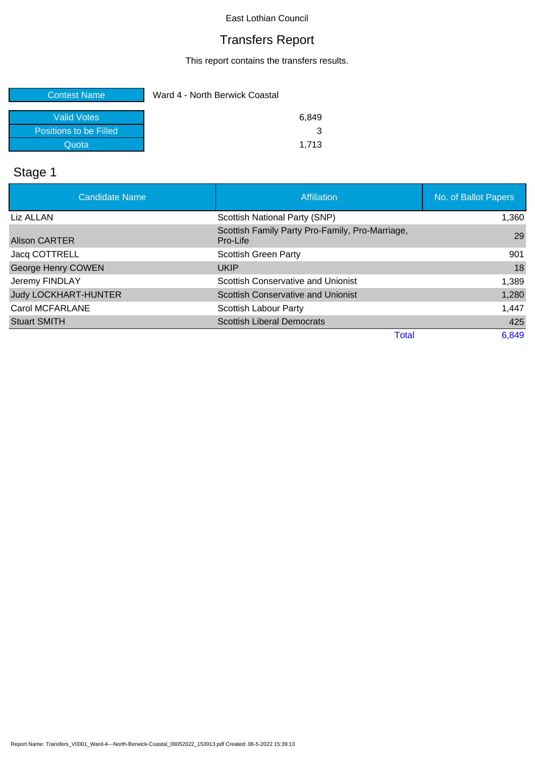# Transfers Report

This report contains the transfers results.

| <b>Contest Name</b>    | Ward 4 - North Berwick Coastal |
|------------------------|--------------------------------|
| <b>Valid Votes</b>     | 6.849                          |
| Positions to be Filled |                                |
| Quota                  | 1.713                          |

# Stage 1

| <b>Candidate Name</b>       | <b>Affiliation</b>                                          | No. of Ballot Papers |
|-----------------------------|-------------------------------------------------------------|----------------------|
| Liz ALLAN                   | Scottish National Party (SNP)                               | 1,360                |
| <b>Alison CARTER</b>        | Scottish Family Party Pro-Family, Pro-Marriage,<br>Pro-Life | 29                   |
| Jacq COTTRELL               | Scottish Green Party                                        | 901                  |
| <b>George Henry COWEN</b>   | <b>UKIP</b>                                                 | 18                   |
| Jeremy FINDLAY              | Scottish Conservative and Unionist                          | 1,389                |
| <b>Judy LOCKHART-HUNTER</b> | Scottish Conservative and Unionist                          | 1,280                |
| Carol MCFARLANE             | Scottish Labour Party                                       | 1,447                |
| <b>Stuart SMITH</b>         | <b>Scottish Liberal Democrats</b>                           | 425                  |
|                             | <b>Total</b>                                                | 6,849                |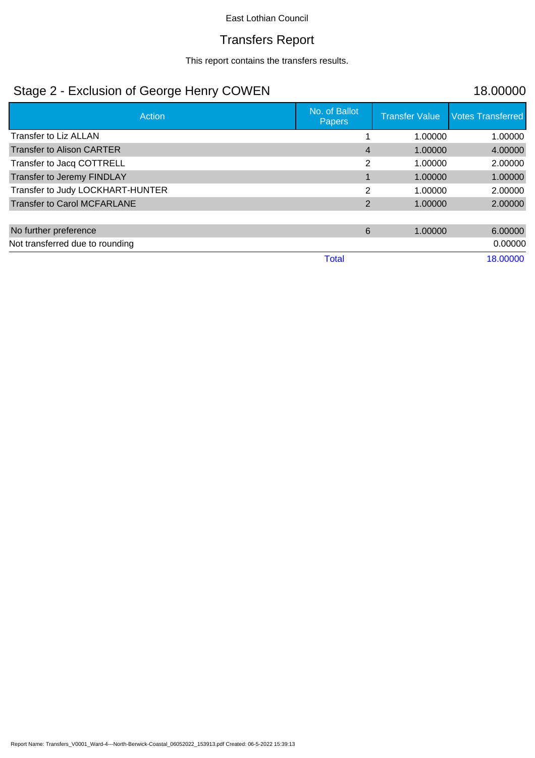## Transfers Report

This report contains the transfers results.

# Stage 2 - Exclusion of George Henry COWEN 18.00000

| Action                             | No. of Ballot<br>Papers | <b>Transfer Value</b> | <b>Votes Transferred</b> |
|------------------------------------|-------------------------|-----------------------|--------------------------|
| Transfer to Liz ALLAN              |                         | 1.00000               | 1.00000                  |
| <b>Transfer to Alison CARTER</b>   | 4                       | 1.00000               | 4.00000                  |
| Transfer to Jacq COTTRELL          | $\overline{2}$          | 1.00000               | 2.00000                  |
| Transfer to Jeremy FINDLAY         |                         | 1.00000               | 1.00000                  |
| Transfer to Judy LOCKHART-HUNTER   | 2                       | 1.00000               | 2.00000                  |
| <b>Transfer to Carol MCFARLANE</b> | 2                       | 1.00000               | 2.00000                  |
|                                    |                         |                       |                          |
| No further preference              | 6                       | 1.00000               | 6.00000                  |
| Not transferred due to rounding    |                         |                       | 0.00000                  |
|                                    | Total                   |                       | 18.00000                 |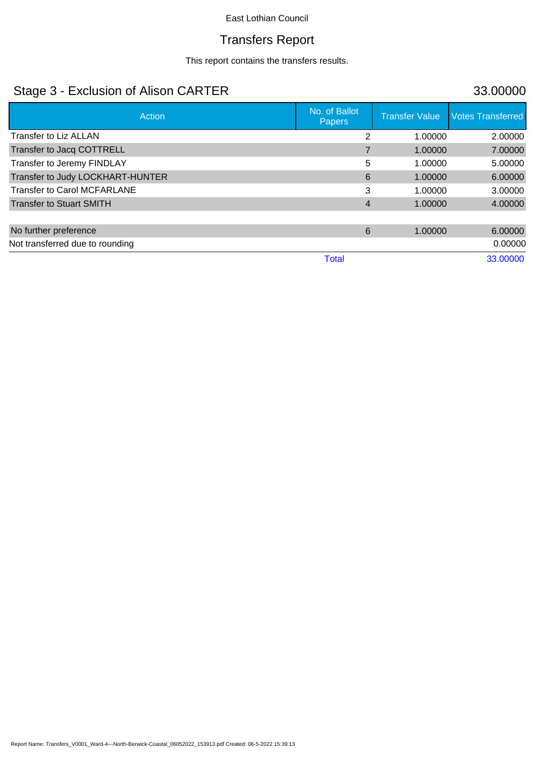# Transfers Report

This report contains the transfers results.

# Stage 3 - Exclusion of Alison CARTER 33.00000

| Action                             | No. of Ballot<br>Papers | <b>Transfer Value</b> | <b>Votes Transferred</b> |
|------------------------------------|-------------------------|-----------------------|--------------------------|
| <b>Transfer to Liz ALLAN</b>       | $\overline{2}$          | 1.00000               | 2.00000                  |
| Transfer to Jacq COTTRELL          |                         | 1.00000               | 7.00000                  |
| Transfer to Jeremy FINDLAY         | 5                       | 1.00000               | 5.00000                  |
| Transfer to Judy LOCKHART-HUNTER   | 6                       | 1.00000               | 6.00000                  |
| <b>Transfer to Carol MCFARLANE</b> | 3                       | 1.00000               | 3.00000                  |
| <b>Transfer to Stuart SMITH</b>    | 4                       | 1.00000               | 4.00000                  |
|                                    |                         |                       |                          |
| No further preference              | 6                       | 1.00000               | 6.00000                  |
| Not transferred due to rounding    |                         |                       | 0.00000                  |
|                                    | Total                   |                       | 33.00000                 |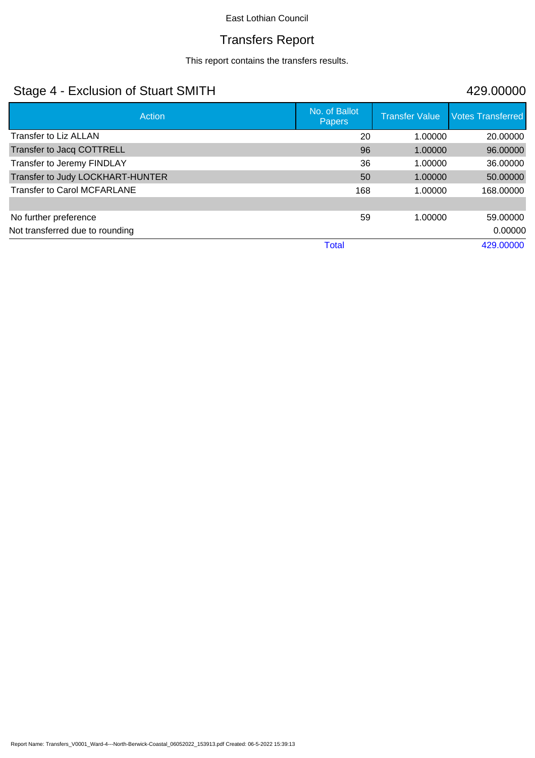# Transfers Report

This report contains the transfers results.

# Stage 4 - Exclusion of Stuart SMITH 429.00000

| Action                             | No. of Ballot<br><b>Papers</b> | <b>Transfer Value</b> | <b>Votes Transferred</b> |
|------------------------------------|--------------------------------|-----------------------|--------------------------|
| Transfer to Liz ALLAN              | 20                             | 1.00000               | 20.00000                 |
| Transfer to Jacq COTTRELL          | 96                             | 1.00000               | 96.00000                 |
| Transfer to Jeremy FINDLAY         | 36                             | 1.00000               | 36.00000                 |
| Transfer to Judy LOCKHART-HUNTER   | 50                             | 1.00000               | 50.00000                 |
| <b>Transfer to Carol MCFARLANE</b> | 168                            | 1.00000               | 168.00000                |
|                                    |                                |                       |                          |
| No further preference              | 59                             | 1.00000               | 59.00000                 |
| Not transferred due to rounding    |                                |                       | 0.00000                  |
|                                    | <b>Total</b>                   |                       | 429.00000                |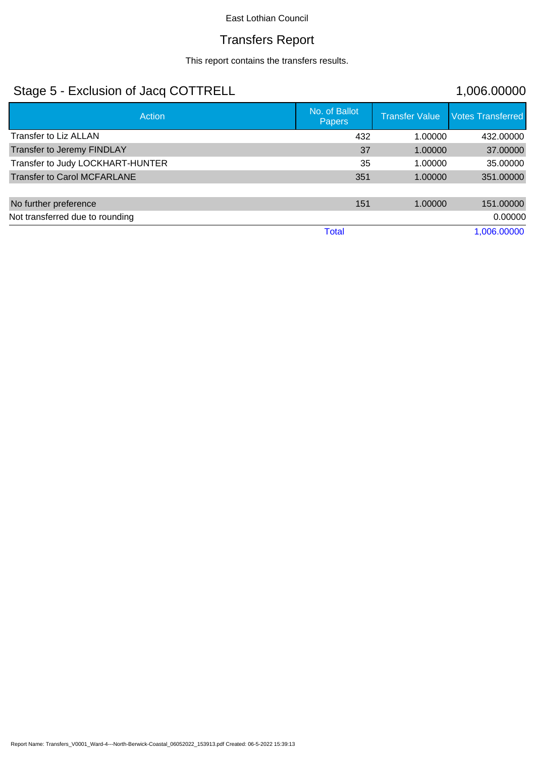## Transfers Report

This report contains the transfers results.

# Stage 5 - Exclusion of Jacq COTTRELL 1,006.00000

| <b>Action</b>                      | No. of Ballot<br><b>Papers</b> | <b>Transfer Value</b> | <b>Votes Transferred</b> |
|------------------------------------|--------------------------------|-----------------------|--------------------------|
| Transfer to Liz ALLAN              | 432                            | 1.00000               | 432.00000                |
| Transfer to Jeremy FINDLAY         | 37                             | 1.00000               | 37.00000                 |
| Transfer to Judy LOCKHART-HUNTER   | 35                             | 1.00000               | 35.00000                 |
| <b>Transfer to Carol MCFARLANE</b> | 351                            | 1.00000               | 351.00000                |
|                                    |                                |                       |                          |
| No further preference              | 151                            | 1.00000               | 151.00000                |
| Not transferred due to rounding    |                                |                       | 0.00000                  |
|                                    | Total                          |                       | 1,006.00000              |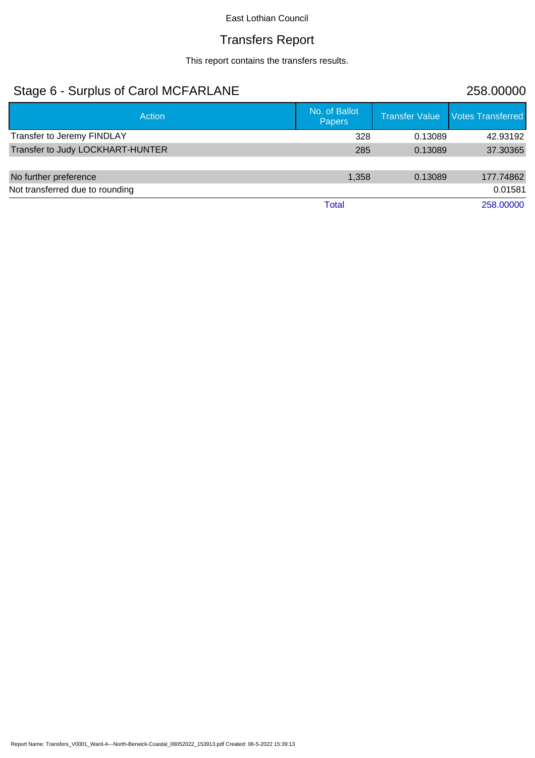# Transfers Report

This report contains the transfers results.

# Stage 6 - Surplus of Carol MCFARLANE 258.00000

| Action                           | No. of Ballot<br><b>Papers</b> | Transfer Value | Votes Transferred |
|----------------------------------|--------------------------------|----------------|-------------------|
| Transfer to Jeremy FINDLAY       | 328                            | 0.13089        | 42.93192          |
| Transfer to Judy LOCKHART-HUNTER | 285                            | 0.13089        | 37.30365          |
| No further preference            | 1,358                          | 0.13089        | 177.74862         |
| Not transferred due to rounding  |                                |                | 0.01581           |
|                                  | Total                          |                | 258.00000         |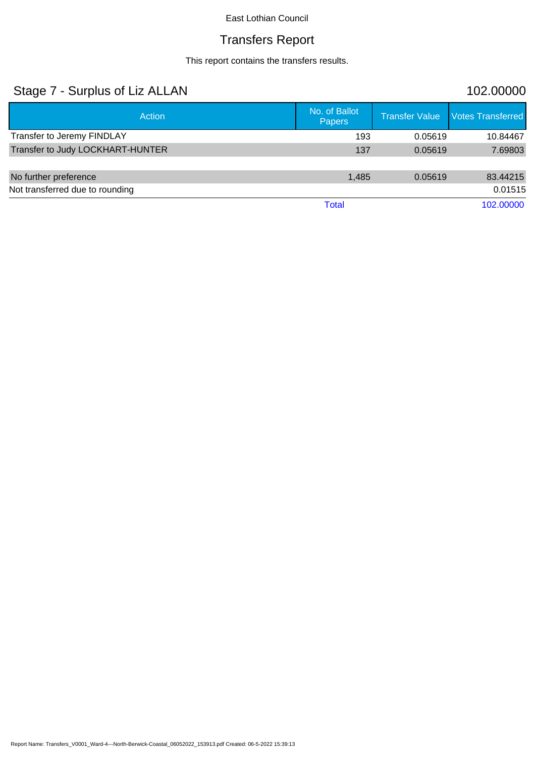# Transfers Report

This report contains the transfers results.

| Stage 7 - Surplus of Liz ALLAN   |                                |                       | 102.00000                |
|----------------------------------|--------------------------------|-----------------------|--------------------------|
| Action                           | No. of Ballot<br><b>Papers</b> | <b>Transfer Value</b> | <b>Votes Transferred</b> |
| Transfer to Jeremy FINDLAY       | 193                            | 0.05619               | 10.84467                 |
| Transfer to Judy LOCKHART-HUNTER | 137                            | 0.05619               | 7.69803                  |
|                                  |                                |                       |                          |
| No further preference            | 1,485                          | 0.05619               | 83.44215                 |
| Not transferred due to rounding  |                                |                       | 0.01515                  |
|                                  | <b>Total</b>                   |                       | 102.00000                |